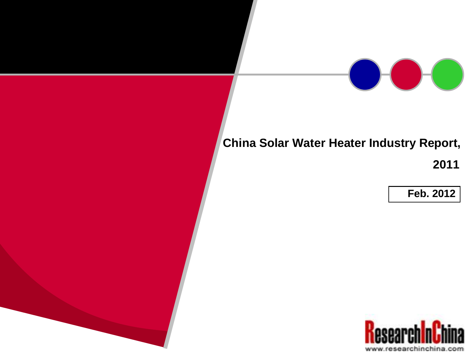

## **China Solar Water Heater Industry Report,**

**2011**

**Feb. 2012**

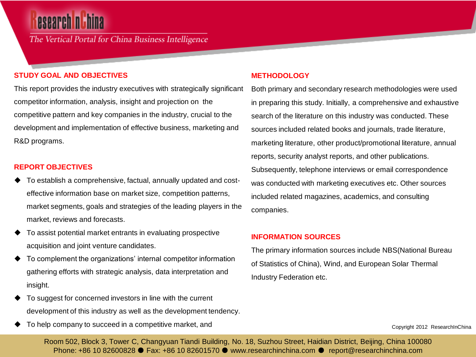# esearch **n** th

The Vertical Portal for China Business Intelligence

#### **STUDY GOAL AND OBJECTIVES**

This report provides the industry executives with strategically significant competitor information, analysis, insight and projection on the competitive pattern and key companies in the industry, crucial to the development and implementation of effective business, marketing and R&D programs.

#### **REPORT OBJECTIVES**

- To establish a comprehensive, factual, annually updated and costeffective information base on market size, competition patterns, market segments, goals and strategies of the leading players in the market, reviews and forecasts.
- To assist potential market entrants in evaluating prospective acquisition and joint venture candidates.
- To complement the organizations' internal competitor information gathering efforts with strategic analysis, data interpretation and insight.
- To suggest for concerned investors in line with the current development of this industry as well as the development tendency.
- To help company to succeed in a competitive market, and

#### **METHODOLOGY**

Both primary and secondary research methodologies were used in preparing this study. Initially, a comprehensive and exhaustive search of the literature on this industry was conducted. These sources included related books and journals, trade literature, marketing literature, other product/promotional literature, annual reports, security analyst reports, and other publications. Subsequently, telephone interviews or email correspondence was conducted with marketing executives etc. Other sources included related magazines, academics, and consulting companies.

#### **INFORMATION SOURCES**

The primary information sources include NBS(National Bureau of Statistics of China), Wind, and European Solar Thermal Industry Federation etc.

Copyright 2012 ResearchInChina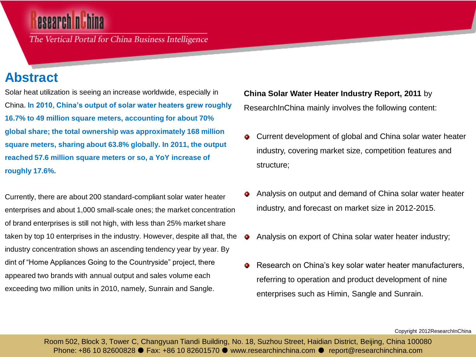# esearch n Th

The Vertical Portal for China Business Intelligence

## **Abstract**

Solar heat utilization is seeing an increase worldwide, especially in China**. In 2010, China's output of solar water heaters grew roughly 16.7% to 49 million square meters, accounting for about 70% global share; the total ownership was approximately 168 million square meters, sharing about 63.8% globally. In 2011, the output reached 57.6 million square meters or so, a YoY increase of roughly 17.6%.** 

Currently, there are about 200 standard-compliant solar water heater enterprises and about 1,000 small-scale ones; the market concentration of brand enterprises is still not high, with less than 25% market share taken by top 10 enterprises in the industry. However, despite all that, the industry concentration shows an ascending tendency year by year. By dint of "Home Appliances Going to the Countryside" project, there appeared two brands with annual output and sales volume each exceeding two million units in 2010, namely, Sunrain and Sangle.

**China Solar Water Heater Industry Report, 2011** by ResearchInChina mainly involves the following content:

- Current development of global and China solar water heater ۰ industry, covering market size, competition features and structure;
- Analysis on output and demand of China solar water heater industry, and forecast on market size in 2012-2015.
- Analysis on export of China solar water heater industry; ۰
- Research on China's key solar water heater manufacturers, ۰ referring to operation and product development of nine enterprises such as Himin, Sangle and Sunrain.

Copyright 2012ResearchInChina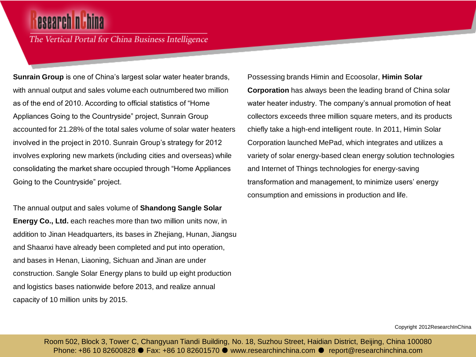# esearch <mark>nh</mark>hi

The Vertical Portal for China Business Intelligence

**Sunrain Group** is one of China's largest solar water heater brands, with annual output and sales volume each outnumbered two million as of the end of 2010. According to official statistics of "Home Appliances Going to the Countryside" project, Sunrain Group accounted for 21.28% of the total sales volume of solar water heaters involved in the project in 2010. Sunrain Group's strategy for 2012 involves exploring new markets (including cities and overseas) while consolidating the market share occupied through "Home Appliances Going to the Countryside" project.

The annual output and sales volume of **Shandong Sangle Solar Energy Co., Ltd.** each reaches more than two million units now, in addition to Jinan Headquarters, its bases in Zhejiang, Hunan, Jiangsu and Shaanxi have already been completed and put into operation, and bases in Henan, Liaoning, Sichuan and Jinan are under construction. Sangle Solar Energy plans to build up eight production and logistics bases nationwide before 2013, and realize annual capacity of 10 million units by 2015.

Possessing brands Himin and Ecoosolar, **Himin Solar Corporation** has always been the leading brand of China solar water heater industry. The company's annual promotion of heat collectors exceeds three million square meters, and its products chiefly take a high-end intelligent route. In 2011, Himin Solar Corporation launched MePad, which integrates and utilizes a variety of solar energy-based clean energy solution technologies and Internet of Things technologies for energy-saving transformation and management, to minimize users' energy consumption and emissions in production and life.

Copyright 2012ResearchInChina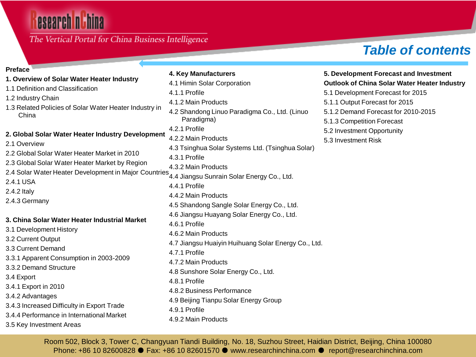# esearch nu hina

### The Vertical Portal for China Business Intelligence

## *Table of contents*

### **Preface**

- **1. Overview of Solar Water Heater Industry**
- 1.1 Definition and Classification
- 1.2 Industry Chain
- 1.3 Related Policies of Solar Water Heater Industry in China

#### **2. Global Solar Water Heater Industry Development**

- 2.1 Overview
- 2.2 Global Solar Water Heater Market in 2010 2.3 Global Solar Water Heater Market by Region
- 2.4 Solar Water Heater Development in Major Countries
- 2.4.1 USA
- 2.4.2 Italy
- 
- 2.4.3 Germany

#### **3. China Solar Water Heater Industrial Market**

- 3.1 Development History
- 3.2 Current Output
- 3.3 Current Demand
- 3.3.1 Apparent Consumption in 2003-2009
- 3.3.2 Demand Structure
- 3.4 Export
- 3.4.1 Export in 2010
- 3.4.2 Advantages
- 3.4.3 Increased Difficulty in Export Trade
- 3.4.4 Performance in International Market
- 3.5 Key Investment Areas

### **4. Key Manufacturers**  4.1 Himin Solar Corporation 4.1.1 Profile 4.1.2 Main Products 4.2 Shandong Linuo Paradigma Co., Ltd. (Linuo Paradigma) 4.2.1 Profile 4.2.2 Main Products 4.3 Tsinghua Solar Systems Ltd. (Tsinghua Solar) 4.3.1 Profile 4.3.2 Main Products 4.4 Jiangsu Sunrain Solar Energy Co., Ltd. 4.4.1 Profile 4.4.2 Main Products 4.5 Shandong Sangle Solar Energy Co., Ltd. 4.6 Jiangsu Huayang Solar Energy Co., Ltd. 4.6.1 Profile 4.6.2 Main Products 4.7 Jiangsu Huaiyin Huihuang Solar Energy Co., Ltd. 4.7.1 Profile 4.7.2 Main Products 4.8 Sunshore Solar Energy Co., Ltd. 4.8.1 Profile 4.8.2 Business Performance 4.9 Beijing Tianpu Solar Energy Group

#### **5. Development Forecast and Investment Outlook of China Solar Water Heater Industry**

- 5.1 Development Forecast for 2015
- 5.1.1 Output Forecast for 2015
- 5.1.2 Demand Forecast for 2010-2015
- 5.1.3 Competition Forecast
- 5.2 Investment Opportunity
- 5.3 Investment Risk

Room 502, Block 3, Tower C, Changyuan Tiandi Building, No. 18, Suzhou Street, Haidian District, Beijing, China 100080 Phone: +86 10 82600828 ● Fax: +86 10 82601570 ● www.researchinchina.com ● report@researchinchina.com

4.9.1 Profile

4.9.2 Main Products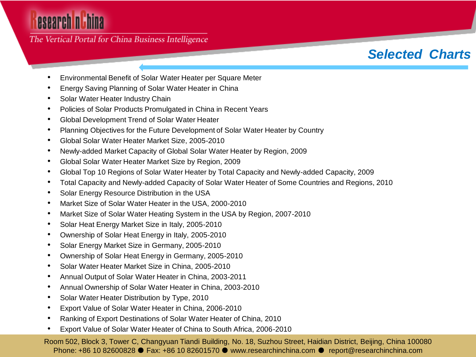# esearch nuhina

The Vertical Portal for China Business Intelligence

## *Selected Charts*

- Environmental Benefit of Solar Water Heater per Square Meter
- Energy Saving Planning of Solar Water Heater in China
- Solar Water Heater Industry Chain
- Policies of Solar Products Promulgated in China in Recent Years
- Global Development Trend of Solar Water Heater
- Planning Objectives for the Future Development of Solar Water Heater by Country
- Global Solar Water Heater Market Size, 2005-2010
- Newly-added Market Capacity of Global Solar Water Heater by Region, 2009
- Global Solar Water Heater Market Size by Region, 2009
- Global Top 10 Regions of Solar Water Heater by Total Capacity and Newly-added Capacity, 2009
- Total Capacity and Newly-added Capacity of Solar Water Heater of Some Countries and Regions, 2010
- Solar Energy Resource Distribution in the USA
- Market Size of Solar Water Heater in the USA, 2000-2010
- Market Size of Solar Water Heating System in the USA by Region, 2007-2010
- Solar Heat Energy Market Size in Italy, 2005-2010
- Ownership of Solar Heat Energy in Italy, 2005-2010
- Solar Energy Market Size in Germany, 2005-2010
- Ownership of Solar Heat Energy in Germany, 2005-2010
- Solar Water Heater Market Size in China, 2005-2010
- Annual Output of Solar Water Heater in China, 2003-2011
- Annual Ownership of Solar Water Heater in China, 2003-2010
- Solar Water Heater Distribution by Type, 2010
- Export Value of Solar Water Heater in China, 2006-2010
- Ranking of Export Destinations of Solar Water Heater of China, 2010
- Export Value of Solar Water Heater of China to South Africa, 2006-2010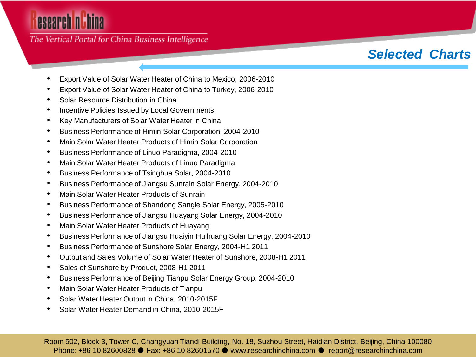# esearch nuhina

The Vertical Portal for China Business Intelligence

## *Selected Charts*

- Export Value of Solar Water Heater of China to Mexico, 2006-2010
- Export Value of Solar Water Heater of China to Turkey, 2006-2010
- Solar Resource Distribution in China
- Incentive Policies Issued by Local Governments
- Key Manufacturers of Solar Water Heater in China
- Business Performance of Himin Solar Corporation, 2004-2010
- Main Solar Water Heater Products of Himin Solar Corporation
- Business Performance of Linuo Paradigma, 2004-2010
- Main Solar Water Heater Products of Linuo Paradigma
- Business Performance of Tsinghua Solar, 2004-2010
- Business Performance of Jiangsu Sunrain Solar Energy, 2004-2010
- Main Solar Water Heater Products of Sunrain
- Business Performance of Shandong Sangle Solar Energy, 2005-2010
- Business Performance of Jiangsu Huayang Solar Energy, 2004-2010
- Main Solar Water Heater Products of Huayang
- Business Performance of Jiangsu Huaiyin Huihuang Solar Energy, 2004-2010
- Business Performance of Sunshore Solar Energy, 2004-H1 2011
- Output and Sales Volume of Solar Water Heater of Sunshore, 2008-H1 2011
- Sales of Sunshore by Product, 2008-H1 2011
- Business Performance of Beijing Tianpu Solar Energy Group, 2004-2010
- Main Solar Water Heater Products of Tianpu
- Solar Water Heater Output in China, 2010-2015F
- Solar Water Heater Demand in China, 2010-2015F